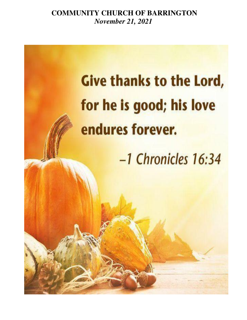**COMMUNITY CHURCH OF BARRINGTON** *November 21, 2021* 

# **Give thanks to the Lord,** for he is good; his love endures forever. -1 Chronicles 16:34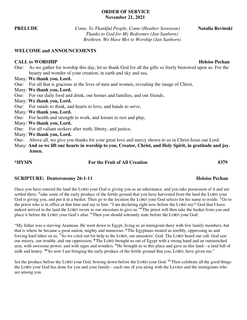## **ORDER OF SERVICE November 21, 2021**

**PRELUDE** *Come, Ye Thankful People, Come (Heather Sorenson)* **Natalia Revinski**  *Thanks to God for My Redeemer (Jan Sanborn) Brethren. We Have Met to Worship (Jan Sanborn)* 

## **WELCOME and ANNOUNCEMENTS**

# **CALL to WORSHIP Heloise Pechan Heloise Pechan Heloise Pechan**

One: As we gather for worship this day, let us thank God for all the gifts so freely bestowed upon us. For the beauty and wonder of your creation, in earth and sky and sea,

## Many: **We thank you, Lord.**

- One: For all that is gracious in the lives of men and women, revealing the image of Christ,
- Many: **We thank you, Lord.**
- One: For our daily food and drink, our homes and families, and our friends,
- Many: **We thank you, Lord.**
- One: For minds to think, and hearts to love, and hands to serve,
- Many: **We thank you, Lord.**
- One: For health and strength to work, and leisure to rest and play,
- Many: **We thank you, Lord.**
- One: For all valiant seekers after truth, liberty, and justice,
- Many: **We thank you, Lord.**
- One: Above all, we give you thanks for your great love and mercy shown to us in Christ Jesus our Lord.
- Many: **And so we lift our hearts in worship to you, Creator, Christ, and Holy Spirit, in gratitude and joy. Amen.**

## **\*HYMN For the Fruit of All Creation #379**

# **SCRIPTURE:** Deuteronomy 26:1-11 **Heloise Pechan**

Once you have entered the land the LORD your God is giving you as an inheritance, and you take possession of it and are settled there, **<sup>2</sup>**take some of the early produce of the fertile ground that you have harvested from the land the LORD your God is giving you, and put it in a basket. Then go to the location the LORD your God selects for his name to reside. **<sup>3</sup>**Go to the priest who is in office at that time and say to him: "I am declaring right now before the LORD my<sup>[\[a\]](https://www.biblegateway.com/passage/?search=Deuteronomy%2026:1-11&version=CEB#fen-CEB-5570a)</sup> God that I have indeed arrived in the land the LORD swore to our ancestors to give us."**<sup>4</sup>**The priest will then take the basket from you and place it before the LORD your God's altar. **<sup>5</sup>**Then you should solemnly state before the LORD your God:

"My father was a starving Aramean. He went down to Egypt, living as an immigrant there with few family members, but that is where he became a great nation, mighty and numerous. **<sup>6</sup>**The Egyptians treated us terribly, oppressing us and forcing hard labor on us. **<sup>7</sup>**So we cried out for help to the LORD, our ancestors' God. The LORD heard our call. God saw our misery, our trouble, and our oppression. **<sup>8</sup>**The LORD brought us out of Egypt with a strong hand and an outstretched arm, with awesome power, and with signs and wonders. **<sup>9</sup>**He brought us to this place and gave us this land—a land full of milk and honey. <sup>10</sup> So now I am bringing the early produce of the fertile ground that you, LORD, have given me."

Set the produce before the LORD your God, bowing down before the LORD your God. **<sup>11</sup>**Then celebrate all the good things the LORD your God has done for you and your family—each one of you along with the Levites and the immigrants who are among you.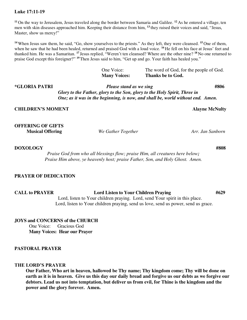## **Luke 17:11-19**

**<sup>11</sup>**On the way to Jerusalem, Jesus traveled along the border between Samaria and Galilee. **<sup>12</sup>**As he entered a village, ten men with skin diseases approached him. Keeping their distance from him, **<sup>13</sup>**they raised their voices and said, "Jesus, Master, show us mercy!"

**<sup>14</sup>**When Jesus saw them, he said, "Go, show yourselves to the priests." As they left, they were cleansed. **<sup>15</sup>**One of them, when he saw that he had been healed, returned and praised God with a loud voice. **<sup>16</sup>**He fell on his face at Jesus' feet and thanked him. He was a Samaritan. **<sup>17</sup>**Jesus replied, "Weren't ten cleansed? Where are the other nine? **<sup>18</sup>**No one returned to praise God except this foreigner?" **<sup>19</sup>**Then Jesus said to him, "Get up and go. Your faith has healed you."

One Voice: The word of God, for the people of God. **Many Voices: Thanks be to God.**

**\*GLORIA PATRI** *Please stand as we sing* **#806** *Glory to the Father, glory to the Son, glory to the Holy Spirit, Three in One; as it was in the beginning, is now, and shall be, world without end. Amen.* 

## **CHILDREN'S MOMENT CHILDREN'S Alayne McNulty**

**OFFERING OF GIFTS Musical Offering** *We Gather Together Arr. Jan Sanborn* 

**DOXOLOGY****#808**

 *Praise God from who all blessings flow; praise Him, all creatures here below; Praise Him above, ye heavenly host; praise Father, Son, and Holy Ghost. Amen.* 

## **PRAYER OF DEDICATION**

**CALL to PRAYER Lord Listen to Your Children Praying #629**  Lord, listen to Your children praying. Lord, send Your spirit in this place. Lord, listen to Your children praying, send us love, send us power, send us grace.

**JOYS and CONCERNS of the CHURCH** 

One Voice: Gracious God **Many Voices: Hear our Prayer** 

## **PASTORAL PRAYER**

# **THE LORD'S PRAYER**

**Our Father, Who art in heaven, hallowed be Thy name; Thy kingdom come; Thy will be done on earth as it is in heaven. Give us this day our daily bread and forgive us our debts as we forgive our debtors. Lead us not into temptation, but deliver us from evil, for Thine is the kingdom and the power and the glory forever. Amen.**